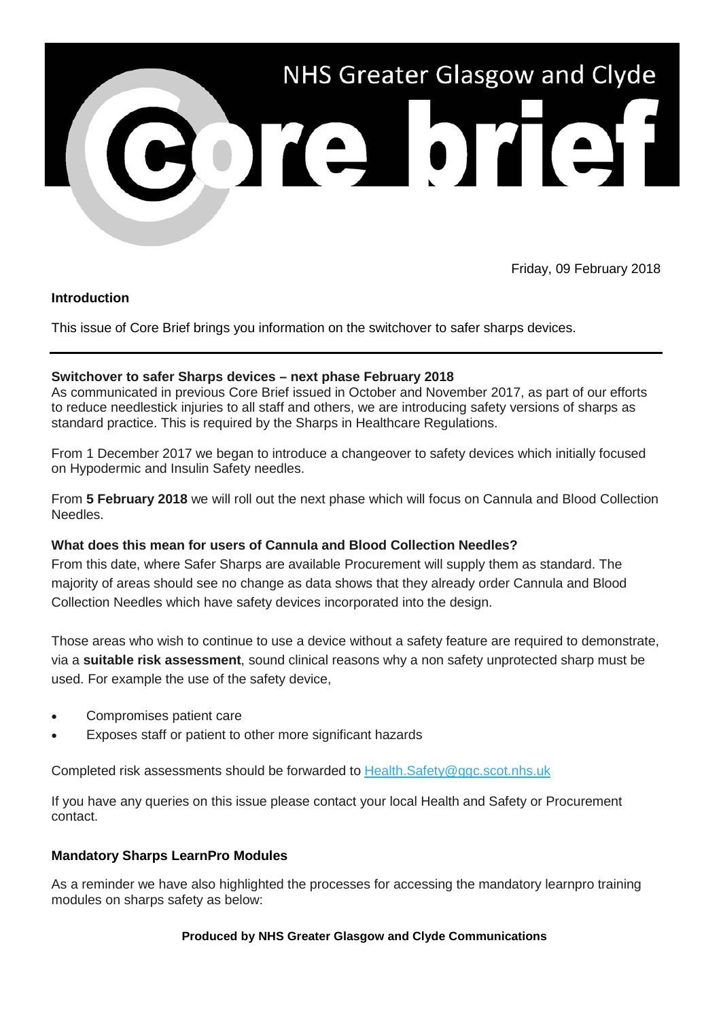

Friday, 09 February 2018

# **Introduction**

This issue of Core Brief brings you information on the switchover to safer sharps devices.

## **Switchover to safer Sharps devices – next phase February 2018**

As communicated in previous Core Brief issued in October and November 2017, as part of our efforts to reduce needlestick injuries to all staff and others, we are introducing safety versions of sharps as standard practice. This is required by the Sharps in Healthcare Regulations.

From 1 December 2017 we began to introduce a changeover to safety devices which initially focused on Hypodermic and Insulin Safety needles.

From **5 February 2018** we will roll out the next phase which will focus on Cannula and Blood Collection Needles.

### **What does this mean for users of Cannula and Blood Collection Needles?**

From this date, where Safer Sharps are available Procurement will supply them as standard. The majority of areas should see no change as data shows that they already order Cannula and Blood Collection Needles which have safety devices incorporated into the design.

Those areas who wish to continue to use a device without a safety feature are required to demonstrate, via a **suitable risk assessment**, sound clinical reasons why a non safety unprotected sharp must be used. For example the use of the safety device,

- Compromises patient care
- Exposes staff or patient to other more significant hazards

Completed risk assessments should be forwarded to [Health.Safety@ggc.scot.nhs.uk](mailto:Health.Safety@ggc.scot.nhs.uk)

If you have any queries on this issue please contact your local Health and Safety or Procurement contact.

# **Mandatory Sharps LearnPro Modules**

As a reminder we have also highlighted the processes for accessing the mandatory learnpro training modules on sharps safety as below:

### **Produced by NHS Greater Glasgow and Clyde Communications**